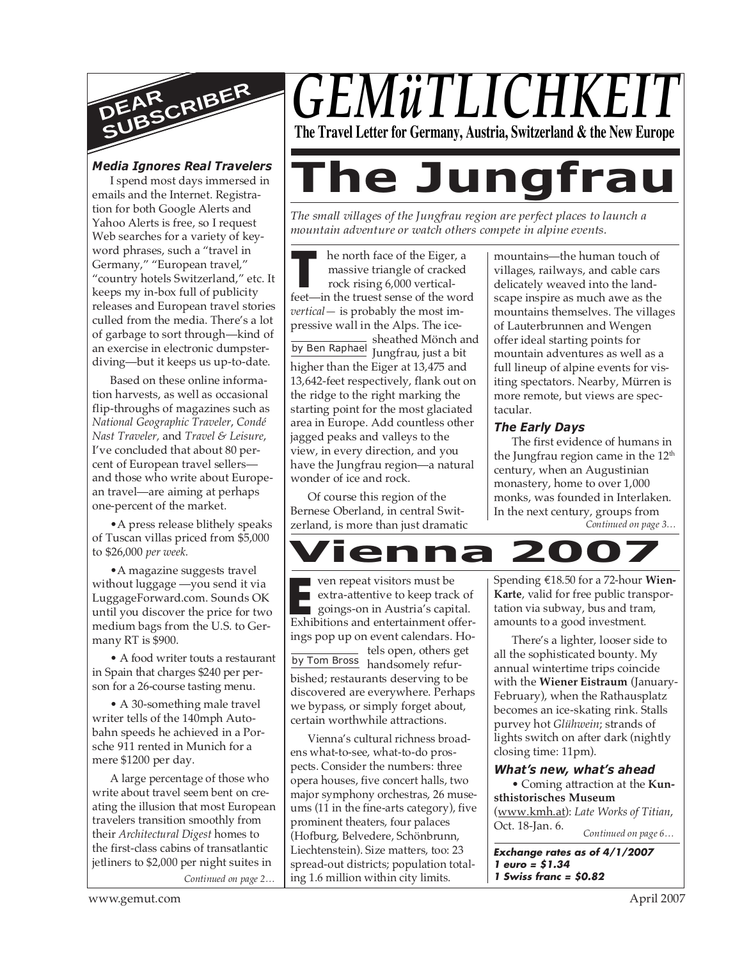

## *Media Ignores Real Travelers*

I spend most days immersed in emails and the Internet. Registration for both Google Alerts and Yahoo Alerts is free, so I request Web searches for a variety of keyword phrases, such a "travel in Germany," "European travel," "country hotels Switzerland," etc. It keeps my in-box full of publicity releases and European travel stories culled from the media. There's a lot of garbage to sort through—kind of an exercise in electronic dumpsterdiving—but it keeps us up-to-date.

Based on these online information harvests, as well as occasional flip-throughs of magazines such as *National Geographic Traveler*, *Condé Nast Traveler,* and *Travel & Leisure*, I've concluded that about 80 percent of European travel sellers and those who write about European travel—are aiming at perhaps one-percent of the market.

•A press release blithely speaks of Tuscan villas priced from \$5,000 to \$26,000 *per week.*

•A magazine suggests travel without luggage —you send it via LuggageForward.com. Sounds OK until you discover the price for two medium bags from the U.S. to Germany RT is \$900.

• A food writer touts a restaurant in Spain that charges \$240 per person for a 26-course tasting menu.

• A 30-something male travel writer tells of the 140mph Autobahn speeds he achieved in a Porsche 911 rented in Munich for a mere \$1200 per day.

*Continued on page 2…* A large percentage of those who write about travel seem bent on creating the illusion that most European travelers transition smoothly from their *Architectural Digest* homes to the first-class cabins of transatlantic jetliners to \$2,000 per night suites in



# **The Jungfrau**

*The small villages of the Jungfrau region are perfect places to launch a mountain adventure or watch others compete in alpine events.*

**THE TENN FIGURE 1999 MET THE SERVING SET SERVING SET SERVING SET SERVING SET SERVING SET SERVING SET SERVING SET SERVING SERVING SERVING SERVING SERVING SERVING SERVING SERVING SERVING SERVING SERVING SERVING SERVING SERV** he north face of the Eiger, a massive triangle of cracked rock rising 6,000 vertical*vertical—* is probably the most impressive wall in the Alps. The ice-

sheathed Mönch and by Ben Raphael Jungfrau, just a bit higher than the Eiger at 13,475 and 13,642-feet respectively, flank out on the ridge to the right marking the starting point for the most glaciated area in Europe. Add countless other jagged peaks and valleys to the view, in every direction, and you have the Jungfrau region—a natural wonder of ice and rock.

Of course this region of the Bernese Oberland, in central Switzerland, is more than just dramatic mountains themselves. The villages of Lauterbrunnen and Wengen offer ideal starting points for mountain adventures as well as a full lineup of alpine events for visiting spectators. Nearby, Mürren is more remote, but views are spectacular. *The Early Days* The first evidence of humans in

mountains—the human touch of villages, railways, and cable cars delicately weaved into the landscape inspire as much awe as the

*Continued on page 3…* the Jungfrau region came in the 12<sup>th</sup> century, when an Augustinian monastery, home to over 1,000 monks, was founded in Interlaken. In the next century, groups from



**EXECUTE:** Ven repeat visitors must be<br>extra-attentive to keep track of<br>goings-on in Austria's capital.<br>Exhibitions and entertainment offerby Tom Bross handsomely refurven repeat visitors must be extra-attentive to keep track of goings-on in Austria's capital. ings pop up on event calendars. Hotels open, others get bished; restaurants deserving to be

discovered are everywhere. Perhaps we bypass, or simply forget about, certain worthwhile attractions.

Vienna's cultural richness broadens what-to-see, what-to-do prospects. Consider the numbers: three opera houses, five concert halls, two major symphony orchestras, 26 museums (11 in the fine-arts category), five prominent theaters, four palaces (Hofburg, Belvedere, Schönbrunn, Liechtenstein). Size matters, too: 23 spread-out districts; population totaling 1.6 million within city limits.

Spending €18.50 for a 72-hour **Wien-Karte**, valid for free public transportation via subway, bus and tram, amounts to a good investment.

There's a lighter, looser side to all the sophisticated bounty. My annual wintertime trips coincide with the **Wiener Eistraum** (January-February), when the Rathausplatz becomes an ice-skating rink. Stalls purvey hot *Glühwein*; strands of lights switch on after dark (nightly closing time: 11pm).

## *What's new, what's ahead*

*Continued on page 6…* • Coming attraction at the **Kunsthistorisches Museum** (www.kmh.at): *Late Works of Titian*, Oct. 18-Jan. 6.

**Exchange rates as of 4/1/2007 1 euro = \$1.34 1 Swiss franc = \$0.82**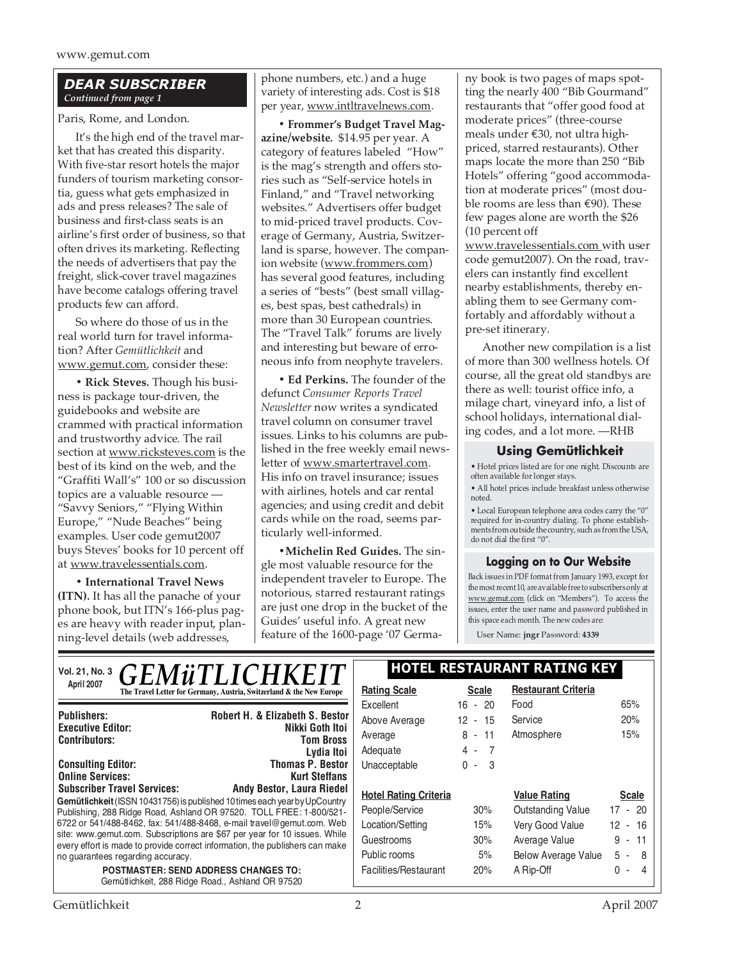## *DEAR SUBSCRIBER Continued from page 1*

Paris, Rome, and London.

It's the high end of the travel market that has created this disparity. With five-star resort hotels the major funders of tourism marketing consortia, guess what gets emphasized in ads and press releases? The sale of business and first-class seats is an airline's first order of business, so that often drives its marketing. Reflecting the needs of advertisers that pay the freight, slick-cover travel magazines have become catalogs offering travel products few can afford.

So where do those of us in the real world turn for travel information? After *Gemütlichkeit* and www.gemut.com, consider these:

**• Rick Steves.** Though his business is package tour-driven, the guidebooks and website are crammed with practical information and trustworthy advice. The rail section at www.ricksteves.com is the best of its kind on the web, and the "Graffiti Wall's" 100 or so discussion topics are a valuable resource — "Savvy Seniors," "Flying Within Europe," "Nude Beaches" being examples. User code gemut2007 buys Steves' books for 10 percent off at www.travelessentials.com.

**• International Travel News (ITN).** It has all the panache of your phone book, but ITN's 166-plus pages are heavy with reader input, planning-level details (web addresses,

phone numbers, etc.) and a huge variety of interesting ads. Cost is \$18 per year, www.intltravelnews.com.

**• Frommer's Budget Travel Magazine/website.** \$14.95 per year. A category of features labeled "How" is the mag's strength and offers stories such as "Self-service hotels in Finland," and "Travel networking websites." Advertisers offer budget to mid-priced travel products. Coverage of Germany, Austria, Switzerland is sparse, however. The companion website (www.frommers.com) has several good features, including a series of "bests" (best small villages, best spas, best cathedrals) in more than 30 European countries. The "Travel Talk" forums are lively and interesting but beware of erroneous info from neophyte travelers.

**• Ed Perkins.** The founder of the defunct *Consumer Reports Travel Newsletter* now writes a syndicated travel column on consumer travel issues. Links to his columns are published in the free weekly email newsletter of www.smartertravel.com. His info on travel insurance; issues with airlines, hotels and car rental agencies; and using credit and debit cards while on the road, seems particularly well-informed.

**•Michelin Red Guides.** The single most valuable resource for the independent traveler to Europe. The notorious, starred restaurant ratings are just one drop in the bucket of the Guides' useful info. A great new feature of the 1600-page '07 Germany book is two pages of maps spotting the nearly 400 "Bib Gourmand" restaurants that "offer good food at moderate prices" (three-course meals under €30, not ultra highpriced, starred restaurants). Other maps locate the more than 250 "Bib Hotels" offering "good accommodation at moderate prices" (most double rooms are less than  $\epsilon$ 90). These few pages alone are worth the \$26 (10 percent off www.travelessentials.com with user code gemut2007). On the road, travelers can instantly find excellent nearby establishments, thereby enabling them to see Germany comfortably and affordably without a pre-set itinerary.

Another new compilation is a list of more than 300 wellness hotels. Of course, all the great old standbys are there as well: tourist office info, a milage chart, vineyard info, a list of school holidays, international dialing codes, and a lot more. —RHB

## **Using Gemütlichkeit**

• Hotel prices listed are for one night. Discounts are often available for longer stays.

• All hotel prices include breakfast unless otherwise noted.

• Local European telephone area codes carry the "0" required for in-country dialing. To phone establishments from outside the country, such as from the USA, do not dial the first "0".

## **Logging on to Our Website**

Back issues in PDF format from January 1993, except for the most recent 10, are available free to subscribers only at www.gemut.com (click on "Members"). To access the issues, enter the user name and password published in this space each month. The new codes are:

User Name: **jngr** Password: **4339**

| <b>HOTEL RESTAURANT RATING KEY</b> |              |                              |                                      |  |
|------------------------------------|--------------|------------------------------|--------------------------------------|--|
| <b>Rating Scale</b>                | <b>Scale</b> | <b>Restaurant Criteria</b>   |                                      |  |
| Excellent                          | $16 - 20$    | Food                         | 65%                                  |  |
| Above Average                      | $12 - 15$    | Service                      | 20%                                  |  |
| Average                            | $8 - 11$     | Atmosphere                   | 15%                                  |  |
| Adequate                           | $4 - 7$      |                              |                                      |  |
| Unacceptable                       | $0 - 3$      |                              |                                      |  |
|                                    |              |                              |                                      |  |
|                                    |              |                              | <b>Scale</b>                         |  |
| People/Service                     | 30%          | Outstanding Value            | $17 - 20$                            |  |
| Location/Setting                   | 15%          | Very Good Value              | 12 - 16                              |  |
| Guestrooms                         | 30%          |                              | $9 - 11$                             |  |
| Public rooms                       | 5%           | <b>Below Average Value</b>   | $5 - 8$                              |  |
| Facilities/Restaurant              | 20%          | A Rip-Off                    | $0 - 4$                              |  |
|                                    |              | <b>Hotel Rating Criteria</b> | <b>Value Rating</b><br>Average Value |  |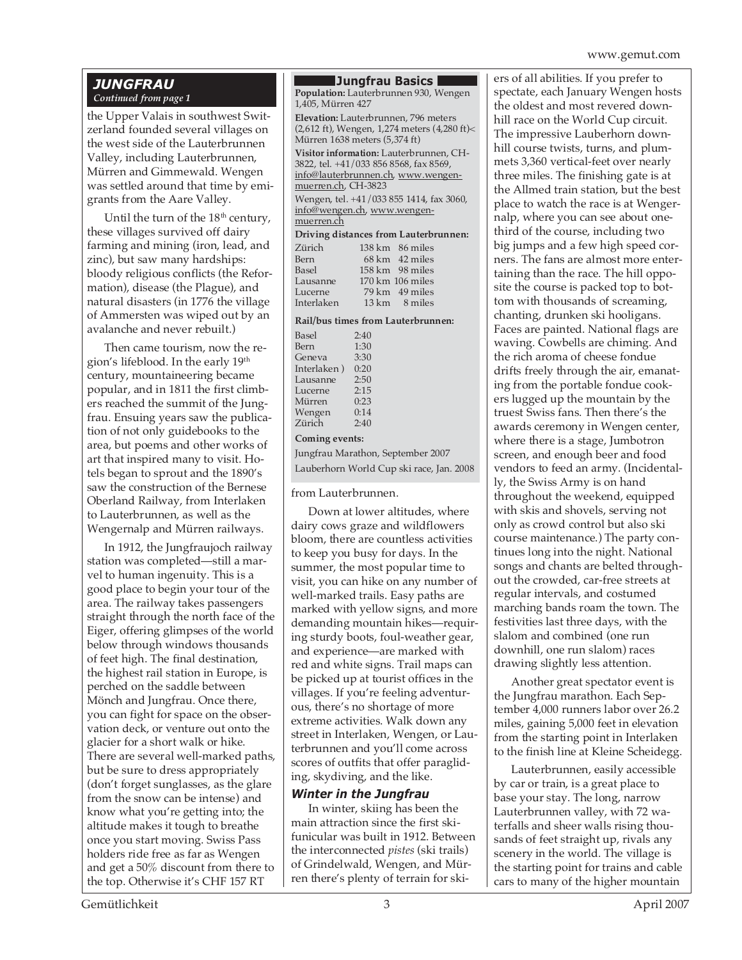#### www.gemut.com

#### *JUNGFRAU Continued from page 1*

the Upper Valais in southwest Switzerland founded several villages on the west side of the Lauterbrunnen Valley, including Lauterbrunnen, Mürren and Gimmewald. Wengen was settled around that time by emigrants from the Aare Valley.

Until the turn of the 18<sup>th</sup> century, these villages survived off dairy farming and mining (iron, lead, and zinc), but saw many hardships: bloody religious conflicts (the Reformation), disease (the Plague), and natural disasters (in 1776 the village of Ammersten was wiped out by an avalanche and never rebuilt.)

Then came tourism, now the region's lifeblood. In the early 19th century, mountaineering became popular, and in 1811 the first climbers reached the summit of the Jungfrau. Ensuing years saw the publication of not only guidebooks to the area, but poems and other works of art that inspired many to visit. Hotels began to sprout and the 1890's saw the construction of the Bernese Oberland Railway, from Interlaken to Lauterbrunnen, as well as the Wengernalp and Mürren railways.

In 1912, the Jungfraujoch railway station was completed—still a marvel to human ingenuity. This is a good place to begin your tour of the area. The railway takes passengers straight through the north face of the Eiger, offering glimpses of the world below through windows thousands of feet high. The final destination, the highest rail station in Europe, is perched on the saddle between Mönch and Jungfrau. Once there, you can fight for space on the observation deck, or venture out onto the glacier for a short walk or hike. There are several well-marked paths, but be sure to dress appropriately (don't forget sunglasses, as the glare from the snow can be intense) and know what you're getting into; the altitude makes it tough to breathe once you start moving. Swiss Pass holders ride free as far as Wengen and get a 50% discount from there to the top. Otherwise it's CHF 157 RT

#### **Jungfrau Basics**

**Population:** Lauterbrunnen 930, Wengen 1,405, Mürren 427

**Elevation:** Lauterbrunnen, 796 meters (2,612 ft), Wengen, 1,274 meters (4,280 ft)< Mürren 1638 meters (5,374 ft)

**Visitor information:** Lauterbrunnen, CH-3822, tel. +41/033 856 8568, fax 8569, info@lauterbrunnen.ch, www.wengenmuerren.ch, CH-3823

Wengen, tel. +41/033 855 1414, fax 3060, info@wengen.ch, www.wengenmuerren.ch

|  |  |  | Driving distances from Lauterbrunnen: |
|--|--|--|---------------------------------------|
|  |  |  |                                       |

| 138 km 86 miles          |
|--------------------------|
| $68 \text{ km}$ 42 miles |
| 158 km 98 miles          |
| 170 km 106 miles         |
| $79 \text{ km}$ 49 miles |
| $13 \text{ km}$ 8 miles  |
|                          |

#### **Rail/bus times from Lauterbrunnen:**

| <b>Basel</b> | 2:40 |  |
|--------------|------|--|
| Bern         | 1:30 |  |
| Geneva       | 3:30 |  |
| Interlaken)  | 0:20 |  |
| Lausanne     | 2:50 |  |
| Lucerne      | 2:15 |  |
| Mürren       | 0:23 |  |
| Wengen       | 0:14 |  |
| Zürich       | 2:40 |  |
|              |      |  |

#### **Coming events:**

Jungfrau Marathon, September 2007 Lauberhorn World Cup ski race, Jan. 2008

#### from Lauterbrunnen.

Down at lower altitudes, where dairy cows graze and wildflowers bloom, there are countless activities to keep you busy for days. In the summer, the most popular time to visit, you can hike on any number of well-marked trails. Easy paths are marked with yellow signs, and more demanding mountain hikes—requiring sturdy boots, foul-weather gear, and experience—are marked with red and white signs. Trail maps can be picked up at tourist offices in the villages. If you're feeling adventurous, there's no shortage of more extreme activities. Walk down any street in Interlaken, Wengen, or Lauterbrunnen and you'll come across scores of outfits that offer paragliding, skydiving, and the like.

## *Winter in the Jungfrau*

In winter, skiing has been the main attraction since the first skifunicular was built in 1912. Between the interconnected *pistes* (ski trails) of Grindelwald, Wengen, and Mürren there's plenty of terrain for skiers of all abilities. If you prefer to spectate, each January Wengen hosts the oldest and most revered downhill race on the World Cup circuit. The impressive Lauberhorn downhill course twists, turns, and plummets 3,360 vertical-feet over nearly three miles. The finishing gate is at the Allmed train station, but the best place to watch the race is at Wengernalp, where you can see about onethird of the course, including two big jumps and a few high speed corners. The fans are almost more entertaining than the race. The hill opposite the course is packed top to bottom with thousands of screaming, chanting, drunken ski hooligans. Faces are painted. National flags are waving. Cowbells are chiming. And the rich aroma of cheese fondue drifts freely through the air, emanating from the portable fondue cookers lugged up the mountain by the truest Swiss fans. Then there's the awards ceremony in Wengen center, where there is a stage, Jumbotron screen, and enough beer and food vendors to feed an army. (Incidentally, the Swiss Army is on hand throughout the weekend, equipped with skis and shovels, serving not only as crowd control but also ski course maintenance.) The party continues long into the night. National songs and chants are belted throughout the crowded, car-free streets at regular intervals, and costumed marching bands roam the town. The festivities last three days, with the slalom and combined (one run downhill, one run slalom) races drawing slightly less attention.

Another great spectator event is the Jungfrau marathon. Each September 4,000 runners labor over 26.2 miles, gaining 5,000 feet in elevation from the starting point in Interlaken to the finish line at Kleine Scheidegg.

Lauterbrunnen, easily accessible by car or train, is a great place to base your stay. The long, narrow Lauterbrunnen valley, with 72 waterfalls and sheer walls rising thousands of feet straight up, rivals any scenery in the world. The village is the starting point for trains and cable cars to many of the higher mountain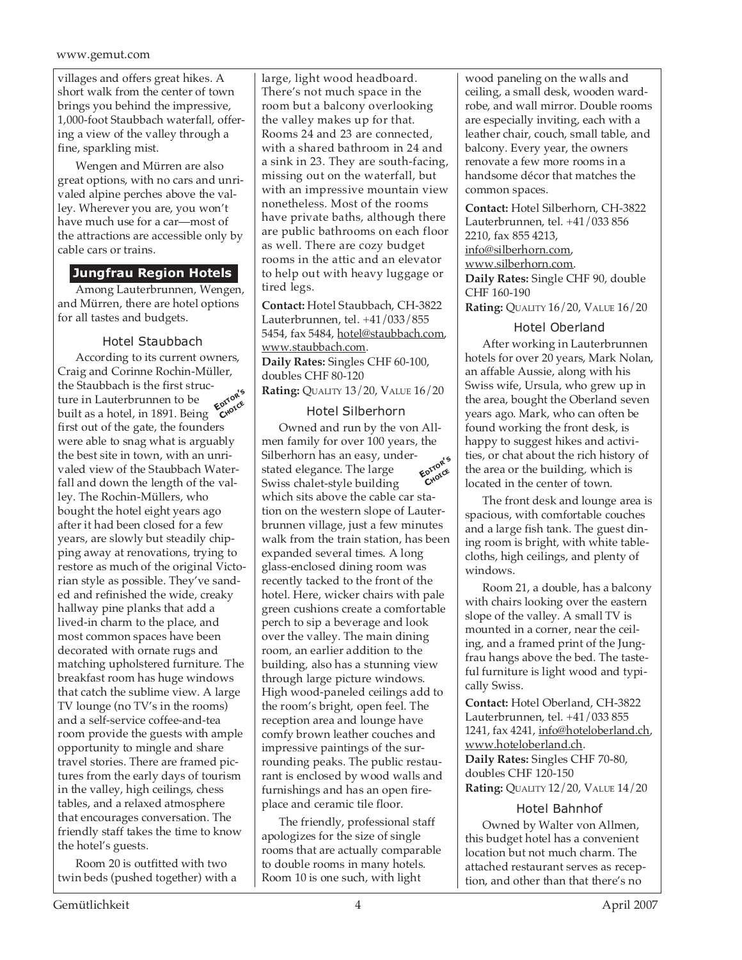villages and offers great hikes. A short walk from the center of town brings you behind the impressive, 1,000-foot Staubbach waterfall, offering a view of the valley through a fine, sparkling mist.

Wengen and Mürren are also great options, with no cars and unrivaled alpine perches above the valley. Wherever you are, you won't have much use for a car—most of the attractions are accessible only by cable cars or trains.

# **Jungfrau Region Hotels**

Among Lauterbrunnen, Wengen, and Mürren, there are hotel options for all tastes and budgets.

# Hotel Staubbach

**EDITOR'<sup>S</sup> CHOICE** According to its current owners, Craig and Corinne Rochin-Müller, the Staubbach is the first structure in Lauterbrunnen to be built as a hotel, in 1891. Being first out of the gate, the founders were able to snag what is arguably the best site in town, with an unrivaled view of the Staubbach Waterfall and down the length of the valley. The Rochin-Müllers, who bought the hotel eight years ago after it had been closed for a few years, are slowly but steadily chipping away at renovations, trying to restore as much of the original Victorian style as possible. They've sanded and refinished the wide, creaky hallway pine planks that add a lived-in charm to the place, and most common spaces have been decorated with ornate rugs and matching upholstered furniture. The breakfast room has huge windows that catch the sublime view. A large TV lounge (no TV's in the rooms) and a self-service coffee-and-tea room provide the guests with ample opportunity to mingle and share travel stories. There are framed pictures from the early days of tourism in the valley, high ceilings, chess tables, and a relaxed atmosphere that encourages conversation. The friendly staff takes the time to know the hotel's guests.

Room 20 is outfitted with two twin beds (pushed together) with a large, light wood headboard. There's not much space in the room but a balcony overlooking the valley makes up for that. Rooms 24 and 23 are connected, with a shared bathroom in 24 and a sink in 23. They are south-facing, missing out on the waterfall, but with an impressive mountain view nonetheless. Most of the rooms have private baths, although there are public bathrooms on each floor as well. There are cozy budget rooms in the attic and an elevator to help out with heavy luggage or tired legs.

**Contact:** Hotel Staubbach, CH-3822 Lauterbrunnen, tel. +41/033/855 5454, fax 5484, hotel@staubbach.com, www.staubbach.com. **Daily Rates:** Singles CHF 60-100, doubles CHF 80-120 **Rating:** QUALITY 13/20, VALUE 16/20

# Hotel Silberhorn

Owned and run by the von Allmen family for over 100 years, the Silberhorn has an easy, understated elegance. The large Swiss chalet-style building which sits above the cable car station on the western slope of Lauterbrunnen village, just a few minutes walk from the train station, has been expanded several times. A long glass-enclosed dining room was recently tacked to the front of the hotel. Here, wicker chairs with pale green cushions create a comfortable perch to sip a beverage and look over the valley. The main dining room, an earlier addition to the building, also has a stunning view through large picture windows. High wood-paneled ceilings add to the room's bright, open feel. The reception area and lounge have comfy brown leather couches and impressive paintings of the surrounding peaks. The public restaurant is enclosed by wood walls and furnishings and has an open fireplace and ceramic tile floor. **EDITOR'<sup>S</sup> CHOICE**

The friendly, professional staff apologizes for the size of single rooms that are actually comparable to double rooms in many hotels. Room 10 is one such, with light

wood paneling on the walls and ceiling, a small desk, wooden wardrobe, and wall mirror. Double rooms are especially inviting, each with a leather chair, couch, small table, and balcony. Every year, the owners renovate a few more rooms in a handsome décor that matches the common spaces.

**Contact:** Hotel Silberhorn, CH-3822 Lauterbrunnen, tel. +41/033 856 2210, fax 855 4213, info@silberhorn.com, www.silberhorn.com. **Daily Rates:** Single CHF 90, double CHF 160-190 **Rating:** QUALITY 16/20, VALUE 16/20

# Hotel Oberland

After working in Lauterbrunnen hotels for over 20 years, Mark Nolan, an affable Aussie, along with his Swiss wife, Ursula, who grew up in the area, bought the Oberland seven years ago. Mark, who can often be found working the front desk, is happy to suggest hikes and activities, or chat about the rich history of the area or the building, which is located in the center of town.

The front desk and lounge area is spacious, with comfortable couches and a large fish tank. The guest dining room is bright, with white tablecloths, high ceilings, and plenty of windows.

Room 21, a double, has a balcony with chairs looking over the eastern slope of the valley. A small TV is mounted in a corner, near the ceiling, and a framed print of the Jungfrau hangs above the bed. The tasteful furniture is light wood and typically Swiss.

**Contact:** Hotel Oberland, CH-3822 Lauterbrunnen, tel. +41/033 855 1241, fax 4241, info@hoteloberland.ch, www.hoteloberland.ch.

**Daily Rates:** Singles CHF 70-80, doubles CHF 120-150 **Rating:** QUALITY 12/20, VALUE 14/20

# Hotel Bahnhof

Owned by Walter von Allmen, this budget hotel has a convenient location but not much charm. The attached restaurant serves as reception, and other than that there's no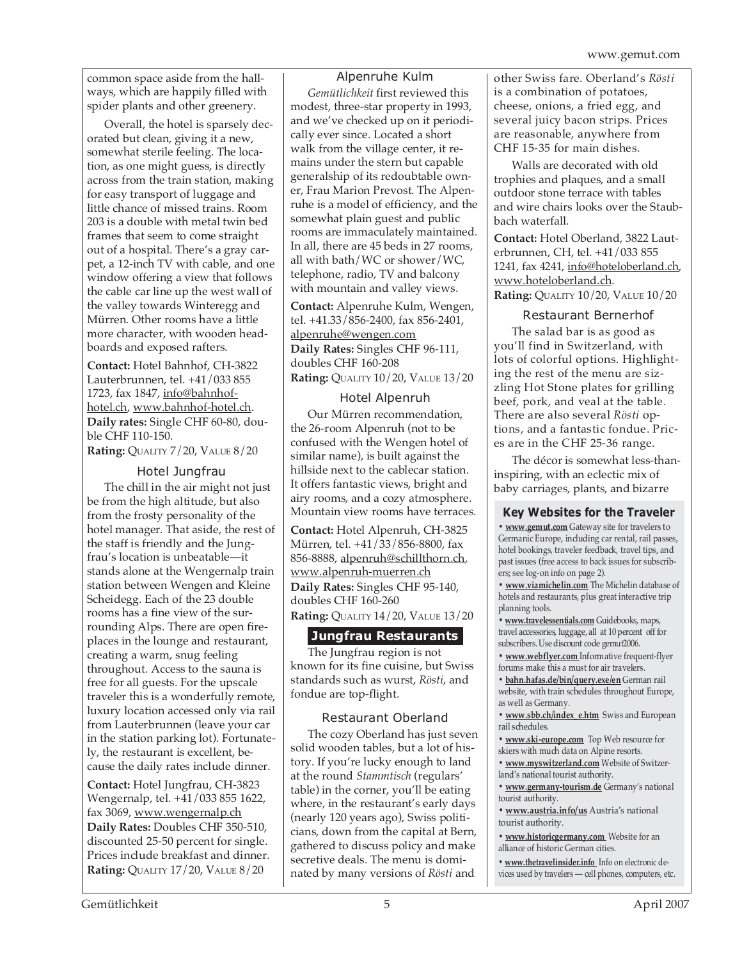common space aside from the hallways, which are happily filled with spider plants and other greenery.

Overall, the hotel is sparsely decorated but clean, giving it a new, somewhat sterile feeling. The location, as one might guess, is directly across from the train station, making for easy transport of luggage and little chance of missed trains. Room 203 is a double with metal twin bed frames that seem to come straight out of a hospital. There's a gray carpet, a 12-inch TV with cable, and one window offering a view that follows the cable car line up the west wall of the valley towards Winteregg and Mürren. Other rooms have a little more character, with wooden headboards and exposed rafters.

**Contact:** Hotel Bahnhof, CH-3822 Lauterbrunnen, tel. +41/033 855 1723, fax 1847, info@bahnhofhotel.ch, www.bahnhof-hotel.ch. **Daily rates:** Single CHF 60-80, double CHF 110-150.

# **Rating:** QUALITY 7/20, VALUE 8/20

#### Hotel Jungfrau

The chill in the air might not just be from the high altitude, but also from the frosty personality of the hotel manager. That aside, the rest of the staff is friendly and the Jungfrau's location is unbeatable—it stands alone at the Wengernalp train station between Wengen and Kleine Scheidegg. Each of the 23 double rooms has a fine view of the surrounding Alps. There are open fireplaces in the lounge and restaurant, creating a warm, snug feeling throughout. Access to the sauna is free for all guests. For the upscale traveler this is a wonderfully remote, luxury location accessed only via rail from Lauterbrunnen (leave your car in the station parking lot). Fortunately, the restaurant is excellent, because the daily rates include dinner.

**Contact:** Hotel Jungfrau, CH-3823 Wengernalp, tel. +41/033 855 1622, fax 3069, www.wengernalp.ch **Daily Rates:** Doubles CHF 350-510, discounted 25-50 percent for single. Prices include breakfast and dinner. **Rating:** QUALITY 17/20, VALUE 8/20

#### Alpenruhe Kulm

*Gemütlichkeit* first reviewed this modest, three-star property in 1993, and we've checked up on it periodically ever since. Located a short walk from the village center, it remains under the stern but capable generalship of its redoubtable owner, Frau Marion Prevost. The Alpenruhe is a model of efficiency, and the somewhat plain guest and public rooms are immaculately maintained. In all, there are 45 beds in 27 rooms, all with bath/WC or shower/WC, telephone, radio, TV and balcony with mountain and valley views.

**Contact:** Alpenruhe Kulm, Wengen, tel. +41.33/856-2400, fax 856-2401, alpenruhe@wengen.com **Daily Rates:** Singles CHF 96-111, doubles CHF 160-208 **Rating:** QUALITY 10/20, VALUE 13/20

#### Hotel Alpenruh

Our Mürren recommendation, the 26-room Alpenruh (not to be confused with the Wengen hotel of similar name), is built against the hillside next to the cablecar station. It offers fantastic views, bright and airy rooms, and a cozy atmosphere. Mountain view rooms have terraces.

**Contact:** Hotel Alpenruh, CH-3825 Mürren, tel. +41/33/856-8800, fax 856-8888, alpenruh@schillthorn.ch, www.alpenruh-muerren.ch **Daily Rates:** Singles CHF 95-140, doubles CHF 160-260

**Rating:** QUALITY 14/20, VALUE 13/20

#### **Jungfrau Restaurants**

The Jungfrau region is not known for its fine cuisine, but Swiss standards such as wurst, *Rösti*, and fondue are top-flight.

#### Restaurant Oberland

The cozy Oberland has just seven solid wooden tables, but a lot of history. If you're lucky enough to land at the round *Stammtisch* (regulars' table) in the corner, you'll be eating where, in the restaurant's early days (nearly 120 years ago), Swiss politicians, down from the capital at Bern, gathered to discuss policy and make secretive deals. The menu is dominated by many versions of *Rösti* and

other Swiss fare. Oberland's *Rösti* is a combination of potatoes, cheese, onions, a fried egg, and several juicy bacon strips. Prices are reasonable, anywhere from CHF 15-35 for main dishes.

Walls are decorated with old trophies and plaques, and a small outdoor stone terrace with tables and wire chairs looks over the Staubbach waterfall.

**Contact:** Hotel Oberland, 3822 Lauterbrunnen, CH, tel. +41/033 855 1241, fax 4241, info@hoteloberland.ch, www.hoteloberland.ch. **Rating:** QUALITY 10/20, VALUE 10/20

#### Restaurant Bernerhof

The salad bar is as good as you'll find in Switzerland, with lots of colorful options. Highlighting the rest of the menu are sizzling Hot Stone plates for grilling beef, pork, and veal at the table. There are also several *Rösti* options, and a fantastic fondue. Prices are in the CHF 25-36 range.

The décor is somewhat less-thaninspiring, with an eclectic mix of baby carriages, plants, and bizarre

#### **Key Websites for the Traveler**

**• www.gemut.com** Gateway site for travelers to Germanic Europe, including car rental, rail passes, hotel bookings, traveler feedback, travel tips, and past issues (free access to back issues for subscribers; see log-on info on page 2).

**• www.viamichelin.com** The Michelin database of hotels and restaurants, plus great interactive trip planning tools.

**• www.travelessentials.com** Guidebooks, maps, travel accessories, luggage, all at 10 percent off for subscribers. Use discount code gemut2006.

**• www.webflyer.com** Informative frequent-flyer forums make this a must for air travelers.

**• bahn.hafas.de/bin/query.exe/en** German rail website, with train schedules throughout Europe, as well as Germany.

**• www.sbb.ch/index\_e.htm** Swiss and European rail schedules.

**• www.ski-europe.com** Top Web resource for skiers with much data on Alpine resorts.

**• www.myswitzerland.com** Website of Switzerland's national tourist authority.

**• www.germany-tourism.de** Germany's national tourist authority.

**• www.austria.info/us** Austria's national tourist authority.

**• www.historicgermany.com** Website for an alliance of historic German cities.

**• www.thetravelinsider.info** Info on electronic devices used by travelers — cell phones, computers, etc.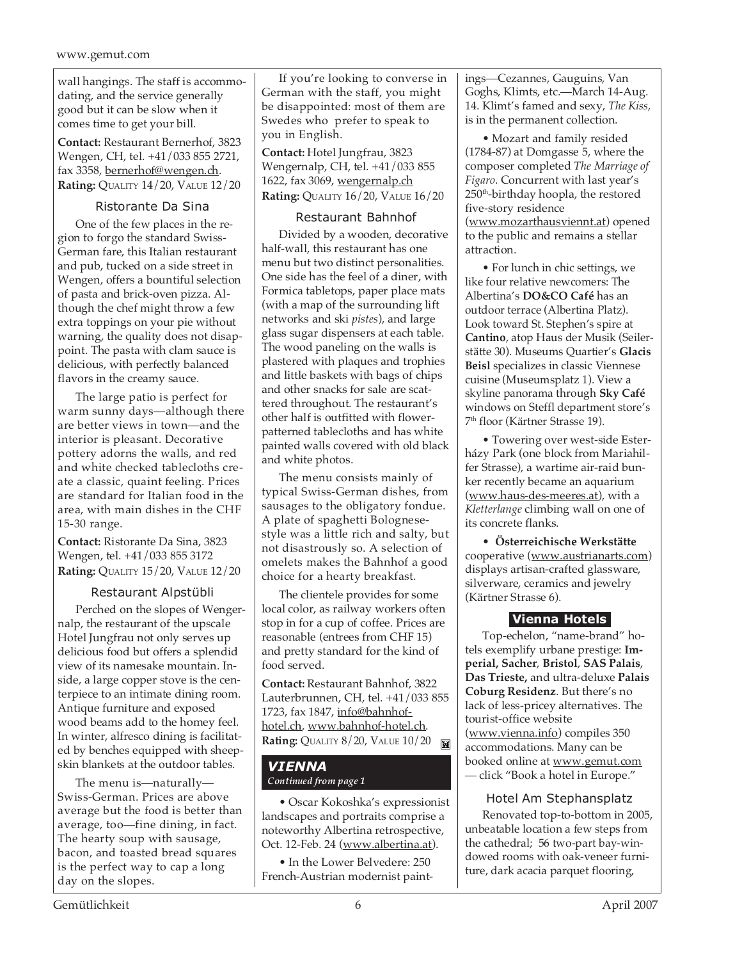wall hangings. The staff is accommodating, and the service generally good but it can be slow when it comes time to get your bill.

**Contact:** Restaurant Bernerhof, 3823 Wengen, CH, tel. +41/033 855 2721, fax 3358, bernerhof@wengen.ch. **Rating:** QUALITY 14/20, VALUE 12/20

# Ristorante Da Sina

One of the few places in the region to forgo the standard Swiss-German fare, this Italian restaurant and pub, tucked on a side street in Wengen, offers a bountiful selection of pasta and brick-oven pizza. Although the chef might throw a few extra toppings on your pie without warning, the quality does not disappoint. The pasta with clam sauce is delicious, with perfectly balanced flavors in the creamy sauce.

The large patio is perfect for warm sunny days—although there are better views in town—and the interior is pleasant. Decorative pottery adorns the walls, and red and white checked tablecloths create a classic, quaint feeling. Prices are standard for Italian food in the area, with main dishes in the CHF 15-30 range.

**Contact:** Ristorante Da Sina, 3823 Wengen, tel. +41/033 855 3172 **Rating:** QUALITY 15/20, VALUE 12/20

# Restaurant Alpstübli

Perched on the slopes of Wengernalp, the restaurant of the upscale Hotel Jungfrau not only serves up delicious food but offers a splendid view of its namesake mountain. Inside, a large copper stove is the centerpiece to an intimate dining room. Antique furniture and exposed wood beams add to the homey feel. In winter, alfresco dining is facilitated by benches equipped with sheepskin blankets at the outdoor tables.

The menu is—naturally— Swiss-German. Prices are above average but the food is better than average, too—fine dining, in fact. The hearty soup with sausage, bacon, and toasted bread squares is the perfect way to cap a long day on the slopes.

If you're looking to converse in German with the staff, you might be disappointed: most of them are Swedes who prefer to speak to you in English.

**Contact:** Hotel Jungfrau, 3823 Wengernalp, CH, tel. +41/033 855 1622, fax 3069, wengernalp.ch **Rating:** QUALITY 16/20, VALUE 16/20

# Restaurant Bahnhof

Divided by a wooden, decorative half-wall, this restaurant has one menu but two distinct personalities. One side has the feel of a diner, with Formica tabletops, paper place mats (with a map of the surrounding lift networks and ski *pistes*), and large glass sugar dispensers at each table. The wood paneling on the walls is plastered with plaques and trophies and little baskets with bags of chips and other snacks for sale are scattered throughout. The restaurant's other half is outfitted with flowerpatterned tablecloths and has white painted walls covered with old black and white photos.

The menu consists mainly of typical Swiss-German dishes, from sausages to the obligatory fondue. A plate of spaghetti Bolognesestyle was a little rich and salty, but not disastrously so. A selection of omelets makes the Bahnhof a good choice for a hearty breakfast.

The clientele provides for some local color, as railway workers often stop in for a cup of coffee. Prices are reasonable (entrees from CHF 15) and pretty standard for the kind of food served.

**Contact:** Restaurant Bahnhof, 3822 Lauterbrunnen, CH, tel. +41/033 855 1723, fax 1847, info@bahnhofhotel.ch, www.bahnhof-hotel.ch. **Rating: QUALITY 8/20, VALUE 10/20** 

# *VIENNA Continued from page 1*

• Oscar Kokoshka's expressionist landscapes and portraits comprise a noteworthy Albertina retrospective, Oct. 12-Feb. 24 (www.albertina.at).

• In the Lower Belvedere: 250 French-Austrian modernist paintings—Cezannes, Gauguins, Van Goghs, Klimts, etc.—March 14-Aug. 14. Klimt's famed and sexy, *The Kiss,* is in the permanent collection.

• Mozart and family resided (1784-87) at Domgasse 5, where the composer completed *The Marriage of Figaro*. Concurrent with last year's 250th-birthday hoopla, the restored five-story residence (www.mozarthausviennt.at) opened to the public and remains a stellar attraction.

• For lunch in chic settings, we like four relative newcomers: The Albertina's **DO&CO Café** has an outdoor terrace (Albertina Platz). Look toward St. Stephen's spire at **Cantino**, atop Haus der Musik (Seilerstätte 30). Museums Quartier's **Glacis Beisl** specializes in classic Viennese cuisine (Museumsplatz 1). View a skyline panorama through **Sky Café** windows on Steffl department store's 7th floor (Kärtner Strasse 19).

• Towering over west-side Esterházy Park (one block from Mariahilfer Strasse), a wartime air-raid bunker recently became an aquarium (www.haus-des-meeres.at), with a *Kletterlange* climbing wall on one of its concrete flanks.

• **Österreichische Werkstätte** cooperative (www.austrianarts.com) displays artisan-crafted glassware, silverware, ceramics and jewelry (Kärtner Strasse 6).

# **Vienna Hotels**

Top-echelon, "name-brand" hotels exemplify urbane prestige: **Imperial, Sacher**, **Bristol**, **SAS Palais**, **Das Trieste,** and ultra-deluxe **Palais Coburg Residenz**. But there's no lack of less-pricey alternatives. The tourist-office website (www.vienna.info) compiles 350 accommodations. Many can be booked online at www.gemut.com — click "Book a hotel in Europe."

# Hotel Am Stephansplatz

Renovated top-to-bottom in 2005, unbeatable location a few steps from the cathedral; 56 two-part bay-windowed rooms with oak-veneer furniture, dark acacia parquet flooring,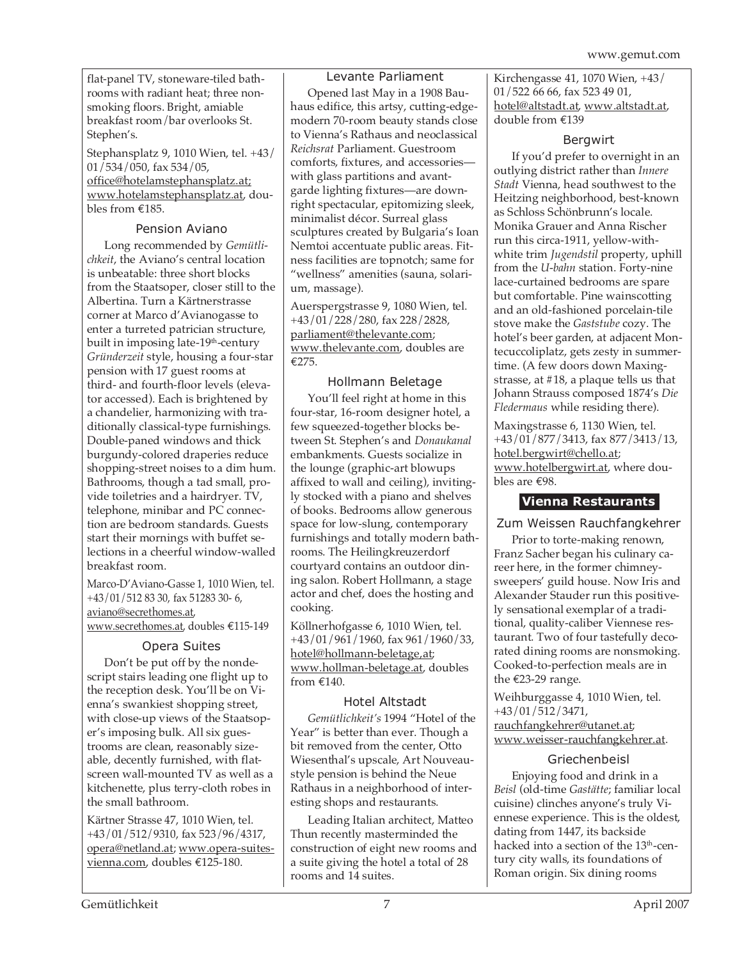flat-panel TV, stoneware-tiled bathrooms with radiant heat; three nonsmoking floors. Bright, amiable breakfast room/bar overlooks St. Stephen's.

Stephansplatz 9, 1010 Wien, tel. +43/ 01/534/050, fax 534/05, office@hotelamstephansplatz.at; www.hotelamstephansplatz.at, doubles from €185.

# Pension Aviano

Long recommended by *Gemütlichkeit*, the Aviano's central location is unbeatable: three short blocks from the Staatsoper, closer still to the Albertina. Turn a Kärtnerstrasse corner at Marco d'Avianogasse to enter a turreted patrician structure, built in imposing late-19<sup>th</sup>-century *Gründerzeit* style, housing a four-star pension with 17 guest rooms at third- and fourth-floor levels (elevator accessed). Each is brightened by a chandelier, harmonizing with traditionally classical-type furnishings. Double-paned windows and thick burgundy-colored draperies reduce shopping-street noises to a dim hum. Bathrooms, though a tad small, provide toiletries and a hairdryer. TV, telephone, minibar and PC connection are bedroom standards. Guests start their mornings with buffet selections in a cheerful window-walled breakfast room.

Marco-D'Aviano-Gasse 1, 1010 Wien, tel. +43/01/512 83 30, fax 51283 30- 6, aviano@secrethomes.at, www.secrethomes.at, doubles €115-149

# Opera Suites

Don't be put off by the nondescript stairs leading one flight up to the reception desk. You'll be on Vienna's swankiest shopping street, with close-up views of the Staatsoper's imposing bulk. All six guestrooms are clean, reasonably sizeable, decently furnished, with flatscreen wall-mounted TV as well as a kitchenette, plus terry-cloth robes in the small bathroom.

Kärtner Strasse 47, 1010 Wien, tel. +43/01/512/9310, fax 523/96/4317, opera@netland.at; www.opera-suitesvienna.com, doubles €125-180.

# Levante Parliament

Opened last May in a 1908 Bauhaus edifice, this artsy, cutting-edgemodern 70-room beauty stands close to Vienna's Rathaus and neoclassical *Reichsrat* Parliament. Guestroom comforts, fixtures, and accessories with glass partitions and avantgarde lighting fixtures—are downright spectacular, epitomizing sleek, minimalist décor. Surreal glass sculptures created by Bulgaria's Ioan Nemtoi accentuate public areas. Fitness facilities are topnotch; same for "wellness" amenities (sauna, solarium, massage).

Auerspergstrasse 9, 1080 Wien, tel. +43/01/228/280, fax 228/2828, parliament@thelevante.com; www.thelevante.com, doubles are €275.

# Hollmann Beletage

You'll feel right at home in this four-star, 16-room designer hotel, a few squeezed-together blocks between St. Stephen's and *Donaukanal* embankments. Guests socialize in the lounge (graphic-art blowups affixed to wall and ceiling), invitingly stocked with a piano and shelves of books. Bedrooms allow generous space for low-slung, contemporary furnishings and totally modern bathrooms. The Heilingkreuzerdorf courtyard contains an outdoor dining salon. Robert Hollmann, a stage actor and chef, does the hosting and cooking.

Köllnerhofgasse 6, 1010 Wien, tel. +43/01/961/1960, fax 961/1960/33, hotel@hollmann-beletage,at; www.hollman-beletage.at, doubles from €140.

# Hotel Altstadt

*Gemütlichkeit's* 1994 "Hotel of the Year" is better than ever. Though a bit removed from the center, Otto Wiesenthal's upscale, Art Nouveaustyle pension is behind the Neue Rathaus in a neighborhood of interesting shops and restaurants.

Leading Italian architect, Matteo Thun recently masterminded the construction of eight new rooms and a suite giving the hotel a total of 28 rooms and 14 suites.

Kirchengasse 41, 1070 Wien, +43/ 01/522 66 66, fax 523 49 01, hotel@altstadt.at, www.altstadt.at, double from €139

# Bergwirt

If you'd prefer to overnight in an outlying district rather than *Innere Stadt* Vienna, head southwest to the Heitzing neighborhood, best-known as Schloss Schönbrunn's locale. Monika Grauer and Anna Rischer run this circa-1911, yellow-withwhite trim *Jugendstil* property, uphill from the *U-bahn* station. Forty-nine lace-curtained bedrooms are spare but comfortable. Pine wainscotting and an old-fashioned porcelain-tile stove make the *Gaststube* cozy. The hotel's beer garden, at adjacent Montecuccoliplatz, gets zesty in summertime. (A few doors down Maxingstrasse, at #18, a plaque tells us that Johann Strauss composed 1874's *Die Fledermaus* while residing there).

Maxingstrasse 6, 1130 Wien, tel. +43/01/877/3413, fax 877/3413/13, hotel.bergwirt@chello.at; www.hotelbergwirt.at, where doubles are €98.

# **Vienna Restaurants**

Zum Weissen Rauchfangkehrer

Prior to torte-making renown, Franz Sacher began his culinary career here, in the former chimneysweepers' guild house. Now Iris and Alexander Stauder run this positively sensational exemplar of a traditional, quality-caliber Viennese restaurant. Two of four tastefully decorated dining rooms are nonsmoking. Cooked-to-perfection meals are in the €23-29 range.

Weihburggasse 4, 1010 Wien, tel. +43/01/512/3471, rauchfangkehrer@utanet.at; www.weisser-rauchfangkehrer.at.

# Griechenbeisl

Enjoying food and drink in a *Beisl* (old-time *Gastätte*; familiar local cuisine) clinches anyone's truly Viennese experience. This is the oldest, dating from 1447, its backside hacked into a section of the 13<sup>th</sup>-century city walls, its foundations of Roman origin. Six dining rooms